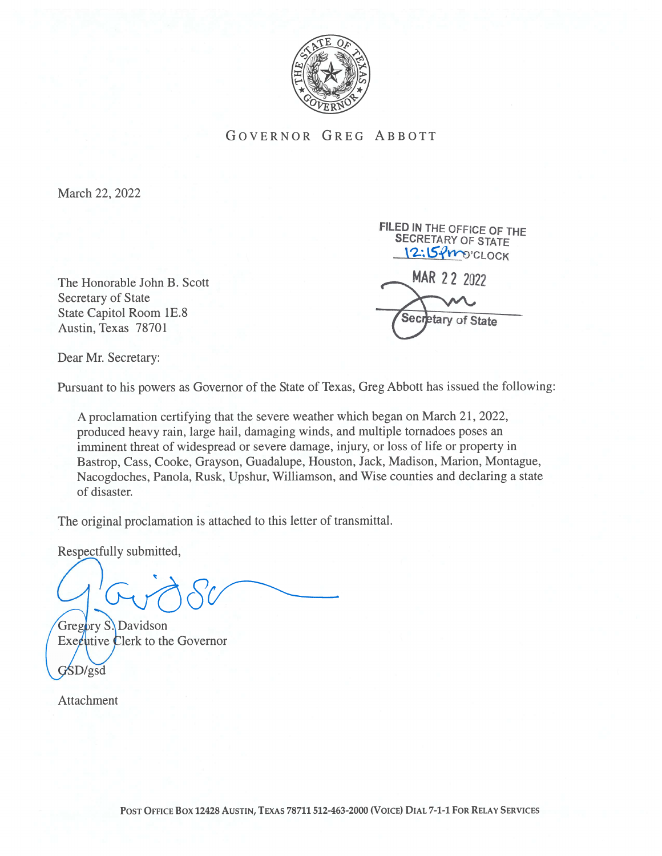

GOVERNOR GREG ABBOTT

March 22, 2022

The Honorable John B. Scott Secretary of State State Capitol Room 1E.8 Austin, Texas 78701

FILED IN THE OFFICE OF THE SECRETARY OF STATE 12:15fmocLOCK MAR 22 2022

etary of State Secı

Dear Mr. Secretary:

Pursuant to his powers as Governor of the State of Texas, Greg Abbott has issued the following:

A proclamation certifying that the severe weather which began on March 21, 2022, produced heavy rain, large hail, damaging winds, and multiple tornadoes poses an imminent threat of widespread or severe damage, injury, or loss of life or property in Bastrop, Cass, Cooke, Grayson, Guadalupe, Houston, Jack, Madison, Marion, Montague, Nacogdoches, Panola, Rusk, Upshur, Williamson, and Wise counties and declaring a state of disaster.

The original proclamation is attached to this letter of transmittal.

Respectfully submitted,

Gregory S. Davidson  $\text{Exe}$ cutive Clerk to the Governor GSD/gsd

Attachment